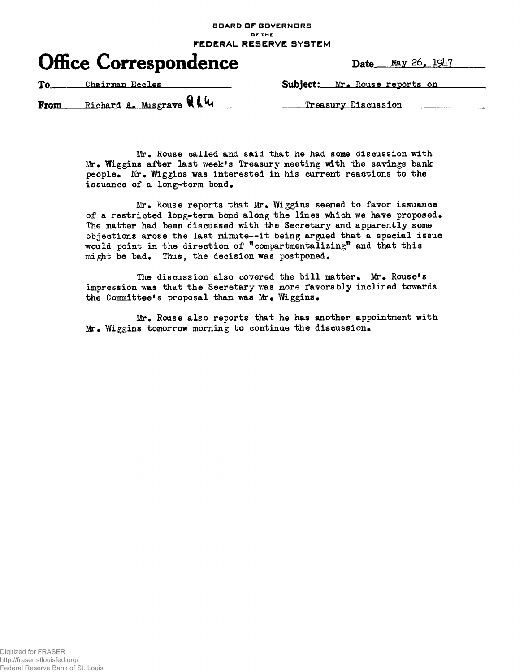**BOARD DF GOVERNORS OF THE FEDERAL RESERVE SYSTEM**



To Chairman Eccles Subject: Mr. Rouse reports on

Richard A\* Mis grave v\iv^ Treasury Discussion From

Mr. Rouse called and said that he had some discussion with Mr. Wiggins after last week's Treasury meeting with the savings bank people. Mr. Wiggins was interested in his current reactions to the issuance of a long-term bond.

 $Mr_{\bullet}$  Rouse reports that Mr. Wiggins seemed to favor issuance of a restricted long-term bond along the lines which we have proposed. The matter had been discussed with the Secretary and apparently some objections arose the last minute—it being argued that a special issue would point in the direction of "compartmentalizing" and that this might be bad. Thus, the decision was postponed.

The discussion also covered the bill matter. Mr. Rouse's impression was that the Secretary was more favorably inclined towards the Committee's proposal than was Mr. Wiggins.

Mr. Rouse also reports that he has another appointment with Mr. Wiggins tomorrow morning to continue the discussion.